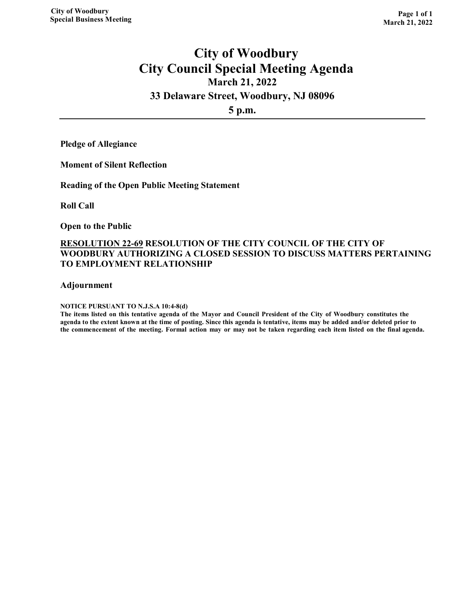# **City of Woodbury City Council Special Meeting Agenda March 21, 2022**

## **33 Delaware Street, Woodbury, NJ 08096**

**5 p.m.**

**Pledge of Allegiance**

**Moment of Silent Reflection**

**Reading of the Open Public Meeting Statement**

**Roll Call** 

**Open to the Public** 

## **RESOLUTION 22-69 RESOLUTION OF THE CITY COUNCIL OF THE CITY OF WOODBURY AUTHORIZING A CLOSED SESSION TO DISCUSS MATTERS PERTAINING TO EMPLOYMENT RELATIONSHIP**

**Adjournment**

**NOTICE PURSUANT TO N.J.S.A 10:4-8(d)**

**The items listed on this tentative agenda of the Mayor and Council President of the City of Woodbury constitutes the agenda to the extent known at the time of posting. Since this agenda is tentative, items may be added and/or deleted prior to the commencement of the meeting. Formal action may or may not be taken regarding each item listed on the final agenda.**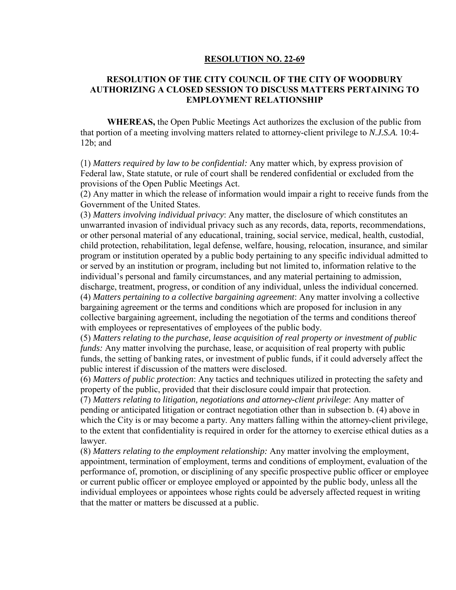#### **RESOLUTION NO. 22-69**

## **RESOLUTION OF THE CITY COUNCIL OF THE CITY OF WOODBURY AUTHORIZING A CLOSED SESSION TO DISCUSS MATTERS PERTAINING TO EMPLOYMENT RELATIONSHIP**

**WHEREAS,** the Open Public Meetings Act authorizes the exclusion of the public from that portion of a meeting involving matters related to attorney-client privilege to *N.J.S.A.* 10:4- 12b; and

(1) *Matters required by law to be confidential:* Any matter which, by express provision of Federal law, State statute, or rule of court shall be rendered confidential or excluded from the provisions of the Open Public Meetings Act.

(2) Any matter in which the release of information would impair a right to receive funds from the Government of the United States.

(3) *Matters involving individual privacy*: Any matter, the disclosure of which constitutes an unwarranted invasion of individual privacy such as any records, data, reports, recommendations, or other personal material of any educational, training, social service, medical, health, custodial, child protection, rehabilitation, legal defense, welfare, housing, relocation, insurance, and similar program or institution operated by a public body pertaining to any specific individual admitted to or served by an institution or program, including but not limited to, information relative to the individual's personal and family circumstances, and any material pertaining to admission, discharge, treatment, progress, or condition of any individual, unless the individual concerned. (4) *Matters pertaining to a collective bargaining agreement*: Any matter involving a collective bargaining agreement or the terms and conditions which are proposed for inclusion in any collective bargaining agreement, including the negotiation of the terms and conditions thereof with employees or representatives of employees of the public body.

(5) *Matters relating to the purchase, lease acquisition of real property or investment of public funds:* Any matter involving the purchase, lease, or acquisition of real property with public funds, the setting of banking rates, or investment of public funds, if it could adversely affect the public interest if discussion of the matters were disclosed.

(6) *Matters of public protection*: Any tactics and techniques utilized in protecting the safety and property of the public, provided that their disclosure could impair that protection.

(7) *Matters relating to litigation, negotiations and attorney-client privilege*: Any matter of pending or anticipated litigation or contract negotiation other than in subsection b. (4) above in which the City is or may become a party. Any matters falling within the attorney-client privilege, to the extent that confidentiality is required in order for the attorney to exercise ethical duties as a lawyer.

(8) *Matters relating to the employment relationship:* Any matter involving the employment, appointment, termination of employment, terms and conditions of employment, evaluation of the performance of, promotion, or disciplining of any specific prospective public officer or employee or current public officer or employee employed or appointed by the public body, unless all the individual employees or appointees whose rights could be adversely affected request in writing that the matter or matters be discussed at a public.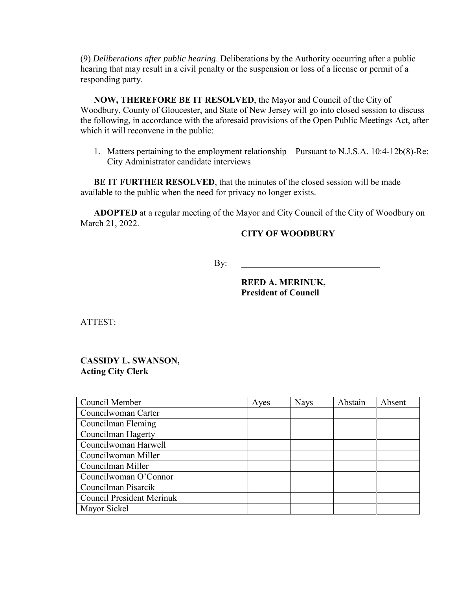(9) *Deliberations after public hearing*. Deliberations by the Authority occurring after a public hearing that may result in a civil penalty or the suspension or loss of a license or permit of a responding party.

**NOW, THEREFORE BE IT RESOLVED**, the Mayor and Council of the City of Woodbury, County of Gloucester, and State of New Jersey will go into closed session to discuss the following, in accordance with the aforesaid provisions of the Open Public Meetings Act, after which it will reconvene in the public:

1. Matters pertaining to the employment relationship – Pursuant to N.J.S.A. 10:4-12b(8)-Re: City Administrator candidate interviews

**BE IT FURTHER RESOLVED**, that the minutes of the closed session will be made available to the public when the need for privacy no longer exists.

**ADOPTED** at a regular meeting of the Mayor and City Council of the City of Woodbury on March 21, 2022.

## **CITY OF WOODBURY**

By: \_\_\_\_\_\_\_\_\_\_\_\_\_\_\_\_\_\_\_\_\_\_\_\_\_\_\_\_\_\_\_

 **REED A. MERINUK, President of Council**

ATTEST:

**CASSIDY L. SWANSON, Acting City Clerk**

 $\overline{\phantom{a}}$  , and the set of the set of the set of the set of the set of the set of the set of the set of the set of the set of the set of the set of the set of the set of the set of the set of the set of the set of the s

| Council Member                   | Ayes | <b>Nays</b> | Abstain | Absent |
|----------------------------------|------|-------------|---------|--------|
| Councilwoman Carter              |      |             |         |        |
| Councilman Fleming               |      |             |         |        |
| Councilman Hagerty               |      |             |         |        |
| Councilwoman Harwell             |      |             |         |        |
| Councilwoman Miller              |      |             |         |        |
| Councilman Miller                |      |             |         |        |
| Councilwoman O'Connor            |      |             |         |        |
| Councilman Pisarcik              |      |             |         |        |
| <b>Council President Merinuk</b> |      |             |         |        |
| Mayor Sickel                     |      |             |         |        |